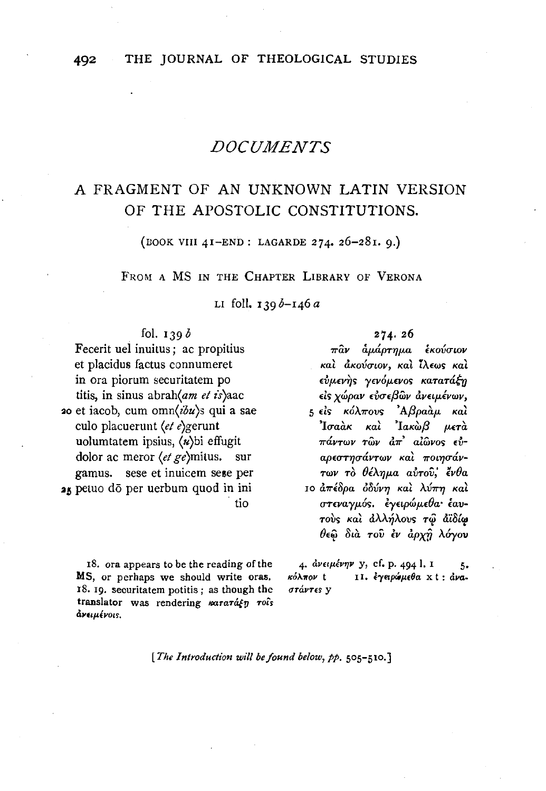## **DOCUMENTS**

# A FRAGMENT OF AN UNKNOWN LATIN VERSION OF THE APOSTOLIC CONSTITUTIONS.

(BOOK VIII 41-END: LAGARDE 274. 26-281. 9.)

FROM A MS IN THE CHAPTER LIBRARY OF VERONA

LI foll.  $139b - 146a$ 

## fol.  $139b$

Fecerit uel inuitus; ac propitius et placidus factus connumeret in ora piorum securitatem po titis, in sinus abrah(am et is)aac 20 et iacob, cum omn( $ibu$ )s qui a sae culo placuerunt (et e)gerunt uolumtatem ipsius, (n)bi effugit dolor ac meror  $\langle e \rangle$  ge $\langle e \rangle$ mitus. sur gamus. sese et inuicem sese per 25 petuo do per uerbum quod in ini tio

18. ora appears to be the reading of the MS, or perhaps we should write oras. 18. 19. seouritatem potitis; as though the translator was rendering mararagn rois άνειμένοιs.

#### $274.26$

πῶν ἀμάρτημα ἐκούσιον και ακούσιον, και ίλεως και εύμενης γενόμενος κατατάξη είς χώραν εύσεβων ανειμένων, 5 είς κόλπους 'Αβραάμ και  $\mathbf{a}$ Toa $\mathbf{a}$ k kal  $\mathbf{a}$ Iak $\mathbf{a}$ B иєтὰ πάντων τῶν ἀπ' αἰῶνος εὐαρεστησάντων και ποιησάντων τὸ θέλημα αὐτοῦ; ἔνθα 10 απέδρα όδύνη και λύπη και στεναγμός. εγειρώμεθα έαυτούς και άλλήλους τω αϊδίω θεώ διά του έν άρχη λόγου

4. ανειμένην y, cf. p. 494 l. I 5. 11. έγειρώμεθα xt: άνακόλπον t στάντες γ

[The Introduction will be found below, pp. 505-510.]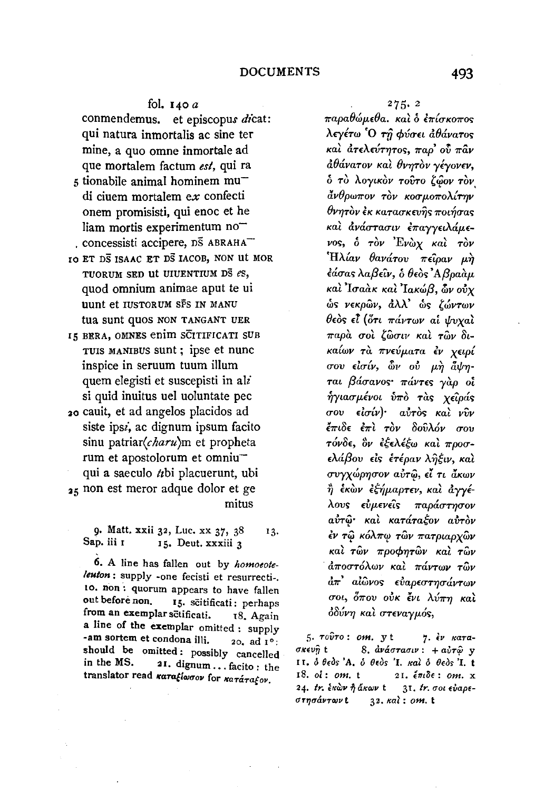### fol.  $140a$

conmendemus. et episcopus dicat: qui natura inmortalis ac sine ter mine, a quo omne inmortale ad que mortalem factum est, qui ra

- 5 tionabile animal hominem mudi ciuem mortalem ex confecti onem promisisti, qui enoc et he liam mortis experimentum no concessisti accipere, DS ABRAHA
- IO ET DS ISAAC ET DS IACOB, NON UI MOR TUORUM SED UI UIUENTIUM DS es, quod omnium animae aput te ui uunt et IUSTORUM SPS IN MANU tua sunt quos non TANGANT UER
- 15 BERA, OMNES enim SCITIFICATI SUB TUIS MANIBUS sunt; ipse et nunc inspice in seruum tuum illum quem elegisti et suscepisti in ali si quid inuitus uel uoluntate pec
- 20 cauit, et ad angelos placidos ad siste ipsz, ac dignum ipsum facito sinu patriar(charu)m et propheta rum et apostolorum et omniuqui a saeculo *ti*bi placuerunt, ubi 25 non est meror adque dolor et ge mitus

9. Matt. xxii 32, Luc. xx 37, 38 13. Sap. iii 1 15. Deut. xxxiii 3

6. A line has fallen out by homoeoteleuton : supply -one fecisti et resurrecti-. 10. non: quorum appears to have fallen out before non. 15. scitificati: perhaps from an exemplar setificati. 18. Again a line of the exemplar omitted : supply -am sortem et condona illi. 20. ad 1<sup>0</sup>: should be omitted: possibly cancelled in the MS. 21. dignum ... facito : the translator read καταξίωσον for κατάταξον.

 $275.2$ 

παραθώμεθα. και ο επίσκοπος λεγέτω Ό τη φύσει άθάνατος καὶ ἀτελεύτητος, παρ' οὗ πᾶν άθάνατον και θνητον γέγονεν, δ τὸ λογικὸν τοῦτο ζῷον τὸν άνθρωπον τον κοσμοπολίτην θνητον έκ κατασκευής ποιήσας και ανάστασιν επαγγειλάμενος, ό τον Ένωχ και τον Ήλίαν θανάτου πείραν μή έάσας λαβεΐν, δ θεδς Αβραάμ καί Ίσαακ και Ίακώβ, ών ούχ ώς νεκρών, άλλ' ώς ζώντων θεὸς εἶ (ὅτι πάντων αἱ ψυχαὶ παρά σοι ζώσιν και τών δικαίων τα πνεύματα έν χειρί σου είσίν, ὧν ού μη άψηται βάσανος πάντες γαρ οί ήγιασμένοι ύπο τας χείράς σου είσίν)· αύτος και νῦν έπιδε έπι τον δούλόν σου τόνδε, ὃν ἐξελέξω καὶ προσελάβου είς έτέραν ληξιν, και συγχώρησον αύτω, εί τι άκων ἢ ἑκὼν ἐξήμαρτεν, καὶ ἀγγέλους εύμενείς παράστησον αύτώ και κατάταξον αυτόν έν τῶ κόλπῳ τῶν πατριαρχῶν καί των προφητών και των άποστόλων και πάντων τῶν άπ' αίώνος εύαρεστησάντων σοι, όπου ούκ ένι λύπη και όδύνη και στεναγμός,

 $5.70070:$   $om.$  yt 7. έν κατα-8. ανάστασιν: + αυτώ γ σκευῆ t II. δ θεός 'Α. δ θεός 'Ι. και δ θεός 'Ι. t  $18.$  of: om.  $t$ 21.  $\epsilon \pi \iota \delta \epsilon$ : om. x 24. tr. έκὼν ή άκων t 31. tr. σοι εύαρεστησάντων t 32. Kai: om. t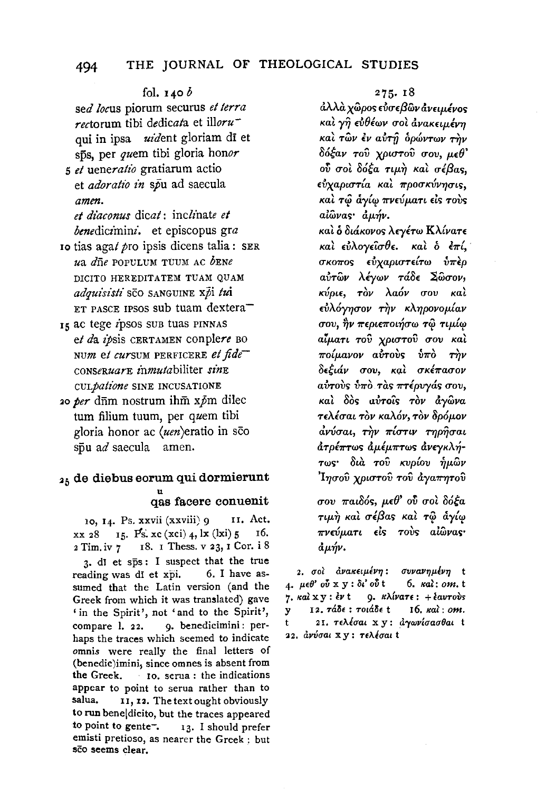## 494 THE JOURNAL OF THEOLOGICAL STUDIES

#### fol.  $140 b$

sed *locus* piorum securus *et terra rectorum* tibi dedicata et *illoru*qui in ipsa *uident* gloriam di et sps, per *quem* tibi gloria honor

*s* et *ueneratio* gratiarum actio et *adoratio in* spu ad saecula *amen.* 

et diaconus dicat: inclinate et *benediczmini.* et episcopus *gra* 

- Io tias agat *pro* ipsis dicens talia : SER ua *dne* POPULUM TUUM AC *bENe*  DICITO HEREDITATEM TUAM QUAM *adquisisti* SCO SANGUINE xpi *fui*  ET PASCE IPSOS sub tuam dextera $-$
- Is ac tege ipsos sub tuas PINNAS *et* da *zpsis* CERTAMEN conplere BO NUm *et curSUM* PERFICERE *et jide-CONSCRUarE zhmutabiliter sinE CULjalione* SINE INCUSATIONE
- 20 *per* diim nostrum ihm *xpm* dilec turn filium tuum, per *quem* tibi gloria honor ac  $(uen)$ eratio in sco  $s\bar{p}u$  ad saecula amen.

# 25 de diebus eorum qui dormierunt qas facere conuenit

10, I4. Ps. xxvii (xxviii) 9 11. Act.  $xx$  28 I<sub>5</sub>. Ps.  $xc$  (xci) 4, lx (lxi) 5 I6. 2 Tim. iv 7 18. I Thess. v 23, I Cor. i 8 3· dl et sps : I suspect that the true reading was di et xpi. 6. I have assumed that the Latin version (and the Greek from which it was translated) gave ' in the Spirit', not 'and to the Spirit', compare 1. 22. 9. benedicimini: perhaps the traces which seemed to indicate omnis were really the final letters of  $(bendic)$ imini, since omnes is absent from<br>the Greek.  $10$ , serua : the indications to. serua : the indications appear to point to serua rather than to salua. 11, 12. The text ought obviously to run beneldicito, but the traces appeared to point to gente<sup>-</sup>.  $13.$  I should prefer emisti pretioso, as nearer the Greek : but sco seems clear.

#### 275· 18

 $\hat{a}\lambda\lambda\hat{a}$  χῶρος εὐσεβῶν ἀνειμένος και γη ευθέων σοι ανακειμένη \ ... ~ **3 ... c** , ' *Kat TWV EV* U.UT'!7 *opWVTWV T'YJV*  86~av TOV *XPtO"Tov* uou, *p.E(}'*  ov σοι δόξα τιμή και σέβας.  $\epsilon$ ύχαριστία και προσκύνησις,  $\kappa$ αὶ τῷ ἄγίῳ πνεύματι εἰs τοὺs alŵvas aµm.

Ka~ & *8u1.Kovo<;* AE('ETW *K.\{vaTE*  **Kat** εύλογείσθε. **Kat** ο επί, σκοπος εύχαριστείτω ύπερ a~Twv *.\lywv Ta8E lwuov, KuptE, TOv .\a6v* uou *Kal*   $\epsilon \dot{v} \lambda \dot{\alpha} \gamma \eta \sigma \omega$   $\tau \dot{\eta} \nu$  *κληρονομίαν* O'OU '"' ' ""' , 1 *'YJV 7r£ptE7rOt'YJO'W T<(! np.t<(!* ., ... ... ' *atp.an* Tou *XPtO'TOU* uou *Kat 7rOlJ-WVOV* alrroV~ *inr0 ri}v*  8£~tcf.v O'OU7 K<:tl *O'K£7raO'OV* aύτους υπο τας πτέρυγας σου, *Kal* δός αύτοις τον άγωνα *TEAluat TOV Ka.\6v, TOV 8p6p.ov*  aνύσαι, την πίστιν τηρήσαι  $d$ *τρέπτως αμέμπτως ανεγκλή-*TW~' *8td.* Tov *Kup{ou* ~p.wv 'l'YJO'OV *XPtO'TOV* TOV *&.ya7f"YJTOV* 

O'OU *7rat86s, p.E()'* o~ 0'0~ 86~a **τιμή καὶ σέβας καὶ τῷ ἀγίω**  $πν εύμ$ *ατι* $είς τους αίωνας·$  $d\mu\eta\nu.$ 

2. σοι ανακειμένη: συνανημένη t 4· JlEO' ov x y: Bt' ov t 6. Ka1: *om.* <sup>t</sup> 7. Kal  $xy : \ell v$ t 9. K $\lambda i \nu a \tau \epsilon : + \ell a \nu \tau o \nu s$ y 12. TaBE: TOtaBE t 16, Ka1: *om.*  21. τελέσαι x y: αγωνίσασθαι t 22. ανύσαι xy: τελέσαι t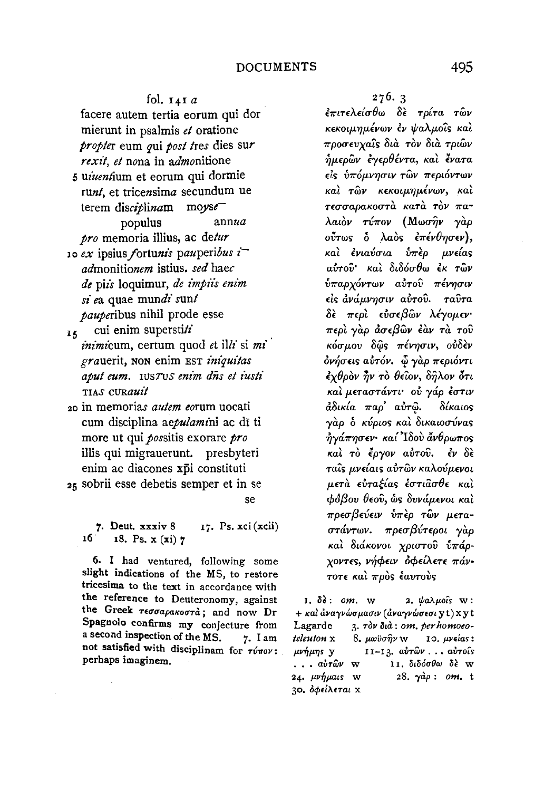fol.  $14Ia$ facere autem tertia eorum qui dor mierunt in psalmis et oratione propter eum qui post tres dies sur rexit, et nona in admonitione 5 uiuentium et eorum qui dormie runt, et tricensima secundum ue terem disciplinam moyse populus annua pro memoria illius, ac detur 10 ex ipsius fortunis pauperibus  $i^$ admonitionem istius. sed haec de piis loquimur, de impiis enim si ea quae mundi sunt pauperibus nihil prode esse

- cui enim superstiti  $\mathbf{R}$ *inimi*cum, certum quod et illi si mi grauerit, non enim EST iniquitas aput eum. IUSTUS enim dns et iusti TIAS CURAMII
- 20 in memorias *autem eorum* uocati cum disciplina aepulamini ac di ti more ut qui possitis exorare pro illis qui migrauerunt. presbyteri enim ac diacones xpi constituti 25 sobrii esse debetis semper et in se

se

7. Deut. xxxiv 8 17. Ps. xci (xcii)  $16$  18. Ps. x (xi) 7

6. I had ventured, following some slight indications of the MS, to restore tricesima to the text in accordance with the reference to Deuteronomy, against the Greek Teorapakoord; and now Dr Spagnolo confirms my conjecture from a second inspection of the MS. 7. I am not satisfied with disciplinam for  $\tau\acute{\nu}\pi o\nu$ : perhaps imaginem.

 $276.3$ 

έπιτελείσθω δε τρίτα των κεκοιμημένων έν ψαλμοΐς και προσευγαΐς διά τον διά τριών ήμερων έγερθέντα, και ένατα είς υπόμνησιν των περιόντων καί τών κεκοιμημένων, καί τεσσαρακοστά κατά τον παλαιὸν τύπον (Μωσην γὰρ ούτως ο λαός επένθησεν), καὶ ἐνιαύσια ὑπὲρ μνείας αύτου και διδόσθω έκ των ύπαρχόντων αύτου πένησιν είς ανάμνησιν αύτου. ταυτα δε περί εύσεβων λέγομεν· περί γαρ άσεβων έαν τα του κόσμου δῶς πένησιν, οὐδὲν όνήσεις αύτόν. Φ γάρ περιόντι έχθρον ήν το θείον, δήλον ότι και μεταστάντι· ού γάρ έστιν άδικία παρ' αυτώ. δίκαιος γάρ ο κύριος και δικαιοσύνας ήγάπησεν καί Ιδού άνθρωπος καὶ τὸ ἔργον αὐτοῦ. ἐν δὲ ταΐς μνείαις αυτών καλούμενοι μετά ευταξίας έστιασθε και φόβου θεού, ώς δυνάμενοι και πρεσβεύειν ύπερ των μεταστάντων. πρεσβύτεροι γάρ καί διάκονοι χριστού υπάρχοντες, νήφειν όφείλετε πάντοτε και προς έαυτους

 $I. δ*ε*: *om*. w$ 2. ψαλμοΐς  $w$ : + και αναγνώσμασιν (αναγνώσεσι yt) xyt Lagarde 3. Tòv dià: om. per homoeoteleuton x 10. μνείας:  $8. \mu$ ωϋσ $η$ ν w  $11-13$ ,  $a\hat{v}\tau\hat{\omega}\nu$ , ..  $a\hat{v}\tau o\hat{\imath}s$  $\mu\nu\eta\mu\eta s$  v ... αὐτῶν w 11. διδόσθω δέ w 28.  $\gamma$ àp: om. t 24. μνήμαις W 30. οφείλεται χ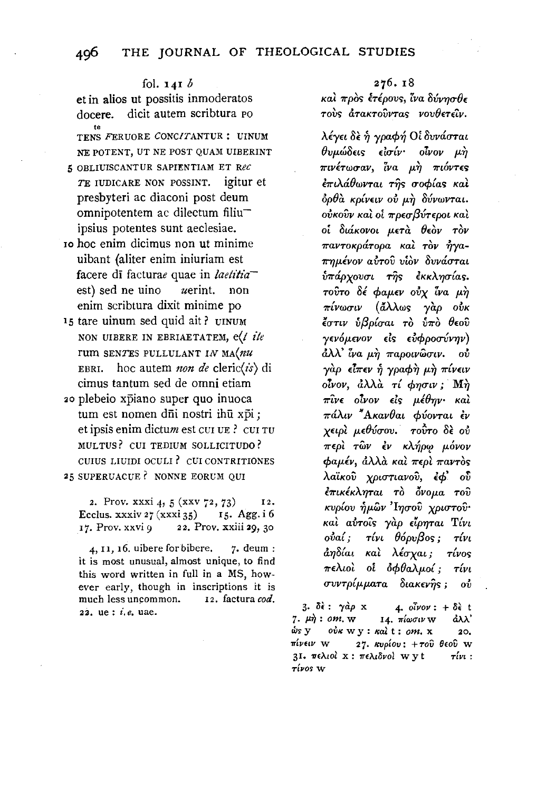fol. 141 *b*  et in alios ut possitis inmoderatos docere. dicit autem scribtura PO te TENS FERUORE CONCITANTUR : UINUM NE POTENT, UT NE POST QUAM UIBERINT 5 OBLIUISCANTUR SAPIENTIAM ET Rec *TE* IUDICARE NON POSSINT. igitur et presbyteri ac diaconi post deum omnipotentem ac dilectum filiuipsius potentes sunt aeclesiae. Io hoc enim dicimus non ut minime

- uibant (aliter enim iniuriam est facere di facturae quae in *laetitia* est) sed ne uino  $u$ erint. non enim scribtura dixit minime po
- 15 tare uinum sed quid ait? UINUM NON UIBERE IN EBRIAETATEM, e(t *ite*  rum SENTES PULLULANT IN MA(nu EBRI. hoc autem *non de* cleric(*is*) di cimus tantum sed de omni etiam
- 20 plebeio xpiano super quo inuoca tum est nomen dūi nostri ihū xpi; et ipsis enim dictum est cui UE ? cui Tu MUL TUS ? CUI TEDIUM SOLLICITUDO ? CUIUS LIUIDI OCULI ? CUI CONTRITIONES 25 SUPERUACUE? NONNE EORUM QUI

2. Prov. xxxi 4, 5 (xxv 72, 73)  $12.$ Ecclus. xxxiv  $27$  (xxxi 35) 15. Agg. i 6 17. Prov. xxvi *9* 22. Prov. xxiii 29, 30

 $4, 11, 16.$  uibere for bibere.  $7.$  deum : it is most unusual, almost unique, to find this word written in full in a MS, however early, though in inscriptions it is much less uncommon. 12. factura cod. 22. ue : *i.e.* uae.

#### 276. 18

*Kat προς έτέρους, ίνα δύνησθε*  $\tau$ ovs ατακτούντας νουθετείν.

A.lyet *8£* ~ ypacp~ OL *8vv&mat*  Ovj.tW8£t.~ *£lu{v· olvov* p~ ~ ff \ <sup>I</sup>*7rLV£TW<7aV, !Va p:YJ 'IT"WVT£<; ξπιλάθωνται τῆς σοφίας καὶ*  $\delta \rho \theta$ à κρίνειν ού μ*ή* δύνωνται. oύκοῦν καὶ oί πρεσβύτεροι καὶ oi *8taKOVOL p.eTii Oeov TOV 7ravToKpaTopa Kat Tov* ~ya- $\pi$ ημένον αύτου υίον δυνάσται *iπάρχουσι της εκκλησίας.*  $\tau$ ούτο δέ φαμεν ούχ ίνα μή *1rtvwuw* ( *a>..Awc; yap ovK*  ~unv *ilf3p£uat To i11ro 8eov "f£VOJLWOV £le; £VcppouVVYJV)*  &AA.' *i'va* p.~ *1rapowwutv. ov*   $\gamma$ *αρ* είπεν ή γραφή μη πίνειν oίνον, άλλα τί φησιν; Μή *1rwe oivov* de; *p.lOYJv· Kat 1raA.w "AKav8at cf>vovTaL lv*   $x \epsilon \omega \omega \mu \epsilon \theta \nu \sigma \omega$ . *τούτο δε ού 7r£pt Ti:w lv* KA~P'I! *p.ovov cpap.£v, aA.A,(i Kat 7r£pt 7raVTO<; A.a"iKov XPWTtavov, lcf>'* oD *<u>επικέκληται</u> το όνομα του Kvp£ov* ~p.wv *'lYJuov XPL<YTov· Kat avTo'ic; yiip e'lpYJTaL Tlvt ovaL; TLVL 06pv{3oc;; Tlvt &YJUat Kat Muxat; T{voc; 7r£Awt* oi *ocf>OaA.p.o{; T{vL <7VVTp{p.p.aTa* 8taKW~<; ; *OV* 

3. δε: γάρ x 4. *οἶνον* : + δε t  $7. \mu \dot{\eta}$ : om. w 14.  $\pi \omega \sigma \nu$  w  $d\lambda \lambda'$  $\dot{\omega}$ s y οὐκ w y : κaì t : *om*. x 20. ~riv<w w 2 7. Kvpiov: + *Tov Oeov* w 3Ι. πελιοί x : πελιδνοί w y t  $\tau(w :$ T[vo~ **w**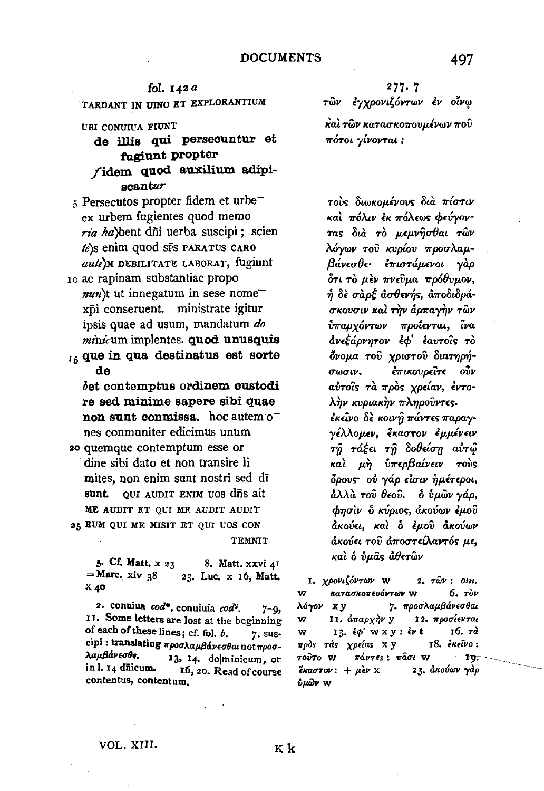fol. 142 a TARDANT IN UINO ET EXPLORANTIUM

#### URI CONUIUA FIUNT

- de illis qui persecuntur et fugiunt propter fidem quod auxilium adipiscantur
- s Persecutos propter fidem et urbe<sup>-</sup> ex urbem fugientes quod memo ria ha) bent dñi uerba suscipi; scien te's enim quod SFS PARATUS CARO aute) M DEBILITATE LABORAT, fugiunt
- 10 ac rapinam substantiae propo  $nun$ t ut innegatum in sese nome xpi conseruent. ministrate igitur ipsis quae ad usum, mandatum do minicum implentes. quod unusquis

15 que in qua destinatus est sorte de

bet contemptus ordinem custodi re sed minime sapere sibi quae non sunt conmissa. hoc autemones conmuniter edicimus unum

20 quemque contemptum esse or dine sibi dato et non transire li mites, non enim sunt nostri sed dī sunt. QUI AUDIT ENIM UOS dis ait ME AUDIT ET OUI ME AUDIT AUDIT 25 EUM QUI ME MISIT ET QUI UOS CON **TEMNIT** 

5. Cf. Matt. x 23 8. Matt. xxvi 41  $=$  Marc. xiv 38 23. Luc. x 16, Matt.  $x_{40}$ 

2. conuiua cod\*, conuiuia cod<sup>2</sup>.  $7 - 9$ 11. Some letters are lost at the beginning of each of these lines; cf. fol. b. 7. suscipi: translating προσλαμβάνεσθαι not προσλαμβάνεσθε. 13, 14. do|minicum, or in l. 14 dūicum. 16, 20. Read of course contentus, contentum.

 $277.7$ τῶν ἐγχρονιζόντων ἐν οἶνω καὶ τῶν κατασκοπουμένων ποῦ πότοι γίνονται ;

τούς διωκομένους δια πίστιν και πόλιν εκ πόλεως φεύγοντας διά τὸ μεμνῆσθαι τῶν λόγων τοῦ κυρίου προσλαμβάνεσθε επιστάμενοι γάρ δτι το μεν πνεύμα πρόθυμον, ή δε σαρέ ασθενής, αποδιδράσκουσιν και την άρπαγήν των ύπαρχόντων προΐενται, ἶνα ανεξάρνητον έφ' έαυτοίς το δνομα του χριστού διατηρήέπικουρείτε ούν σωσιν. αύτοις τα πρός χρείαν, έντολήν κυριακήν πληρούντες. έκείνο δε κοινή πάντες παραγγέλλομεν, έκαστον εμμένειν τη τάξει τη δοθείση αυτώ καλ μή ύπερβαίνειν τούς δρους· ού γάρ είσιν ήμέτεροι, άλλὰ τοῦ θεοῦ. - ὁ ὑμῶν γάρ, φησίν ο κύριος, ακούων έμου άκούει, καὶ ὁ ἐμοῦ ἀκούων άκούει του αποστείλαντός με, καὶ ὁ ὑμᾶς ἀθετῶν

1. χρονιζόντων W  $2.7\hat{\omega}\nu$ : om.  $6.7$ w κατασκοπευόντων W 7. προσλαμβάνεσθαι λόγον χγ w II. άπαρχὴν y 12. προσίενται 13.  $\epsilon \phi'$  w x y :  $\epsilon \nu$  t 16. та w πρός τάς χρείας xy 18. έκείνο: τούτο w πάντες: πασι W TQ. 23. ακούων γάρ  $\epsilon$ καστον: + μεν x ύμὣ**ν** W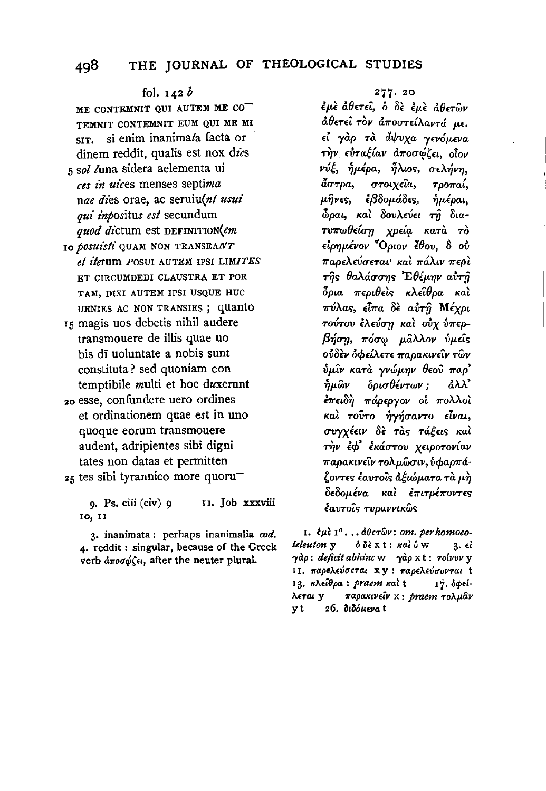## fol.  $142b$

ME CONTEMNIT OUI AUTEM ME CO TEMNIT CONTEMNIT EUM OUI ME MI SIT. si enim inanima/a facta or dinem reddit, qualis est nox dies 5 sol luna sidera aelementa ui ces in uices menses septima nae dies orae, ac seruiu(nt usui qui inpositus est secundum quod dictum est DEFINITION(em 10 *bosuisti* QUAM NON TRANSEANT

- et iterum POSUI AUTEM IPSI LIMITES ET CIRCUMDEDI CLAUSTRA ET POR TAM, DIXI AUTEM IPSI USQUE HUC UENIES AC NON TRANSIES; quanto
- 15 magis uos debetis nihil audere transmouere de illis quae uo bis dī uoluntate a nobis sunt constituta? sed quoniam con temptibile multi et hoc duxerunt 20 esse, confundere uero ordines
- et ordinationem quae est in uno quoque eorum transmouere audent, adripientes sibi digni tates non datas et permitten 25 tes sibi tyrannico more quoru

9. Ps. ciii (civ) 9 11. Job xxxviii 10, 11

3. inanimata: perhaps inanimalia cod. 4. reddit: singular, because of the Greek verb αποσώζει, after the neuter plural.

## 277.20

έμε άθετει, ο δε εμε άθετων άθετεί τον αποστείλαντά με. εί γάρ τα άψυχα γενόμενα την ευταξίαν αποσώζει, οΐον νύξ, ήμέρα, ήλιος, σελήνη,  $\tilde{a}\sigma\tau\rho a$ στοιχεΐα, τροπαί, μήνες, εβδομάδες, ημέραι, δραι, και δουλεύει τη διατυπωθείση χρεία κατά τό είρημένον <sup>"</sup>Οριον έθου, ὃ ού παρελεύσεται και πάλιν περι της θαλάσσης Έθέμην αύτη δρια περιθείς κλεΐθρα καὶ πύλας, εἶπα δὲ αὐτῆ Μέχρι τούτου έλεύση και ούχ ύπερβήση, πόσω μάλλον ύμεις ούδεν όφείλετε παρακινεΐν τῶν  $\hat{v}$ μίν κατά γνώμην θεού παρ' δρισθέντων; άλλ' ήμῶν <del>έπ</del>ειδή πάρεργον οἱ πολλοὶ καί τούτο ήγήσαντο είναι, συγχέειν δε τας τάξεις και τήν έφ' έκάστου χειροτονίαν παρακινείν τολμώσιν, υφαρπάζοντες έαυτοῖς ἀξιώματα τὰ μὴ δεδομένα και επιτρέποντες έαυτοΐς τυραννικώς

1. έμε  $I^0$ ... άθετων: om. per homoeoteleuton y όδέχt: καὶ ό W 3. ci γάρ: deficit abhinc w γάρχt: τοίνυν y ΙΙ. παρελεύσεται xy: παρελεύσονται t 13. κλείθρα: praem και t 17. δφείπαρακινείν x: praem τολμάν λεται γ 26. διδόμενα t yt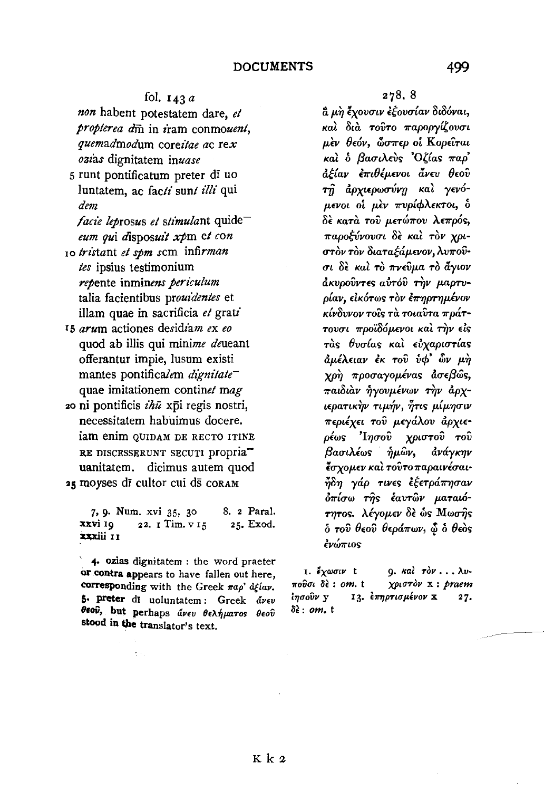## fol.  $143a$

non habent potestatem dare, et propterea din in iram conmouent. quemadmodum coreitae ac rex ozias dignitatem inuase

- 5 runt pontificatum preter di uo luntatem, ac facti sunt illi qui dem
	- facie leprosus et stimulant quideeum qui disposuit xpm et con
- 10 tristant et spm scm infirman tes ipsius testimonium repente inminens periculum talia facientibus prouidentes et illam quae in sacrificia et grati
- 15 arum actiones desidiam ex eo quod ab illis qui minime deueant offerantur impie, lusum existi mantes pontificalem dignitate<sup>-</sup> quae imitationem continet mag
- zo ni pontificis  $i\hbar\bar{u}$  xpi regis nostri, necessitatem habuimus docere. iam enim QUIDAM DE RECTO ITINE RE DISCESSERUNT SECUTI DIODIA<sup>-</sup> uanitatem. dicimus autem quod 25 moyses di cultor cui ds CORAM

8. 2 Paral. 7, 9. Num. xvi 35, 30 xxvi 10 22. I Tim. v 15 25. Exod. xxxiii 11

4. ozias dignitatem : the word praeter or contra appears to have fallen out here, corresponding with the Greek  $\pi a \rho' d\ell i a \nu$ . 5. preter di uoluntatem: Greek avev θεού, but perhaps άνευ θελήματος θεού stood in the translator's text.

 $\sim$   $\sim$ 

α μη έχουσιν εξουσίαν διδόναι, και διά τουτο παροργίζουσι μεν θεόν, ὧσπερ οι Κορείται και ο βασιλεύς Όζίας παρ' άξίαν ἐπιθέμενοι ἄνευ θεοῦ τή άρχιερωσύνη και γενόμενοι οί μεν πυρίφλεκτοι, δ δε κατά του μετώπου λεπρός, παροξύνουσι δε και τον χριστον τον διαταξάμενον, λυπούσι δε και το πνεύμα το άγιον άκυρούντες αυτόυ την μαρτυρίαν, εικότως τον επηρτημένον κίνδυνον τοΐς τα τοιαυτα πράττουσι προϊδόμενοι και την είς τάς θυσίας και εύχαριστίας άμέλειαν έκ του υφ' ὧν μη χρή προσαγομένας άσεβώς, παιδιάν ήγουμένων την άρχιερατικήν τιμήν, ήτις μίμησιν περιέχει του μεγάλου άρχιε- $\rho \epsilon \omega s$  ' $1 \eta \sigma o \hat{v}$ χριστού του βασιλέως ήμων, ανάγκην έσχομεν και τουτο παραινέσαι· ἦδη γάρ τινες ἐξετράπησαν όπίσω της εαυτών ματαιότητος. λέγομεν δε ώς Μωσής  $\delta$  του θεου θεράπων,  $\delta$  δ θεος ένώπιος

9. και τόν... λυ-1. έχωσιν t πούσι δε: om. t χριστόν x : praem *ιησούν* γ 13. επηρτισμένον χ  $27.$  $\delta \epsilon$ : om. t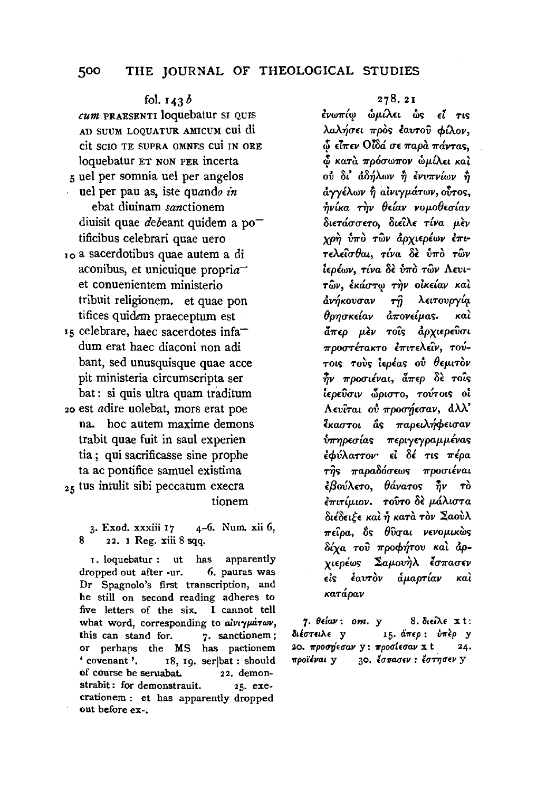## fol. 143 *b*

*cum* PRAESENTI loquebatur SI QUIS AD SUUM LOQUATUR AMICUM CUi di cit SCIO TE SUPRA OMNES CUi IN ORE loquebatur ET NON PER incerta 5 uel per somnia uel per angelos

- uel per pau as, iste quando *in*  ebat diuinam *sanctionem*  diuisit quae *debeant* quidem a po<sup>-</sup> tificibus celebrari quae uero
- 10 a sacerdotibus quae autem a di aconibus, et unicuique propri $a^$ et conuenientem ministerio tribuit religionem. et quae pon tifices quidem praeceptum est
- 15 celebrare, haec sacerdotes infadum erat haec diaconi non adi bant, sed unusquisque quae acce pit ministeria circumscripta ser bat : si quis ultra quam traditum 20 est adire uolebat, mors erat poe
- na. hoc autem maxime demons trabit quae fuit in saul experien tia ; qui sacrificasse sine prophe ta ac pontifice samuel existima  $25$  tus intulit sibi peccatum execra tionem

3· Exod. xxxiii 17 4-6. Num. xii 6, 8 8 22. I Reg. xiii 8 sqq.

1. loquebatur : ut has apparently dropped out after -ur. 6. pauras was Dr Spagnolo's first transcription, and he still on second reading adheres to five letters of the six. I cannot tell what words of the six, **common tendent**  $\frac{1}{2}$  are  $\frac{1}{2}$  for  $\frac{1}{2}$  sanctionem;  $\alpha$  perhaps the MS has pactionem, perhaps the m<sub>3</sub> has pactionem  $\frac{1}{6}$  covenant '. 18, 19. ser | bat : should<br>of course be seruabat. 22. demonstrabit: for demonstrauit.  $25.$  exe- $\alpha$ <sup>th</sup>  $\alpha$  cratic demonstration.  $\alpha$ <sup>1</sup>  $\alpha$ <sup>2</sup>  $\alpha$ uut  $\alpha$ :  $\alpha$ - $\alpha$ 

## 278.21

*<u>λ</u>νωπίω ὧμίλει ὧς εἶ τις* λαλήσει πρός έαυτού φίλον,  $\delta$  είπεν Οίδά σε παρα πάντας.  $\phi$  κατά πρόσωπον **ώμίλει** και oύ δι' άδήλων ή ενυπνίων ή  $d$ *γγέλων ή αίνιγμάτων, ουτος,*  $ν$ <sub>i</sub> και *την θείαν νομοθεσίαν* OtETacrcr£To, OtEtA£ *Tlva p.f.v xrWi* {J7ro *T;;JV &.pxtEptwv* E7rt· 'I'EAEtcrOat, *Tlva o(* {J7ro *'TWV lEplwv, T{va o(* {J7ro *TWV* Awt- ,.. **e** ' ' ' ' ' *'TWV*1 *EKaCT'T'J! 'n)V OtKEtaV Kat*  **by**, exactly the circus rate. *άνή*κουσαν <del>τ</del>ῆ λειτουργία<br>θρησκείαν ἀπονείμας. καὶ  $\frac{3}{4}\pi\epsilon\rho$  μεν τοίς αρχιερεύσι  $\pi$ ροστέτακτο επιτελείν, τού- $\tau$ οις τους *ιερέας ου θεμιτον*  $\frac{3}{2}$ ν προσιέναι, <del>άπερ</del> δε τοίς **e ,.. flf 1 e** tEpEVCTtV *wptCTTO, TOV'TOtS* Ot AEvtTat otJ *7rpocry}Ecrav,* &.U' *lkaστοι* ας παρειλήφεισαν  $\delta\pi$ ηρεσίας περιγεγραμμένας *lcf>vA.arrov·* El *ot* Tt~ *7rtpa*  ril~ *7rapao6cr£ws 7rpocrdvat <u></u><sub><i>d*</sub>βούλετο, θάνατος  $\vec{n}$ ν το *E7r£Ttp.tov.* 'I'OUTO *of. p.aXt<TTa*  odon~E *Kal* ~ *KaTd. 'TOV* ~aoVA  $\pi \epsilon \hat{\iota}$ ρα, δε θύσαι νενομικώς *Uxa Tov* 7rpocp~ov *Kal* &.pχιερέως Σαμουὴλ <del>έσπ</del>ασεν<br>εἰς ἑαυτὸν ἁμαρτίαν καὶ *KaTapav Kat* '

 $7. \theta \in i$ av: om.  $y \approx 8.$  διείλε x t: διέστειλε y 15. άπερ: ύπερ y 20. 7tpoO"fiEO'av y: 7tpoO'[EO'av x t 24.  $\frac{1}{2}$   $\frac{1}{2}$   $\frac{1}{2}$   $\frac{1}{2}$   $\frac{1}{2}$   $\frac{1}{2}$   $\frac{1}{2}$   $\frac{1}{2}$   $\frac{1}{2}$   $\frac{1}{2}$   $\frac{1}{2}$   $\frac{1}{2}$   $\frac{1}{2}$   $\frac{1}{2}$   $\frac{1}{2}$   $\frac{1}{2}$   $\frac{1}{2}$   $\frac{1}{2}$   $\frac{1}{2}$   $\frac{1}{2}$   $\frac{1}{2}$   $\frac{1}{2}$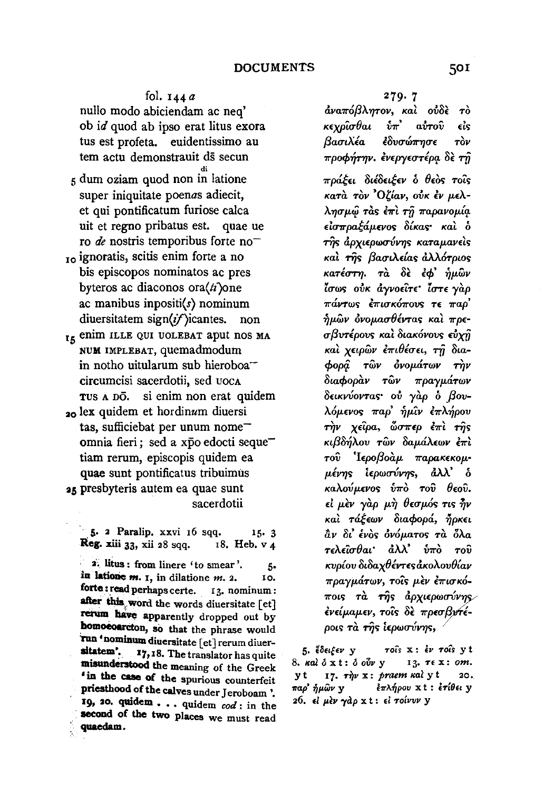fol. 144 *a*  nullo modo abiciendam ac neq' ob id quod ab ipso erat litus exora tus est profeta. euidentissimo au tem actu demonstrauit ds secun 5 dum oziam quod non in latione super iniquitate poenas adiecit, et qui pontificatum furiose calca uit et regno pribatus est. quae ue ro *de* nostris temporibus forte no<sup>-</sup> <sub>10</sub> ignoratis, scitis enim forte a no bis episcopos nominatos ac pres byteros ac diaconos ora $\langle ti \rangle$ one ac manibus inpositi(s) nominum diuersitatem sign $(i)$ icantes. non 15 enim ILLE QUI UOLEBAT aput nos MA NUM IMPLEBAT, quemadmodum in notho uitularum sub hieroboa<sup>--</sup> circumcisi sacerdotii, sed uocA TUS A DO. si enim non erat quidem

20 lex quidem et hordinum diuersi tas, sufficiebat per unum nomeomnia fieri; sed a xpo edocti seque<sup>-</sup> tiam rerum, episcopis quidem ea quae sunt pontificatus tribuimus 25 presbyteris autem ea quae sunt sacerdotii

 $\frac{1}{5}$  5. 2 Paralip. xxvi 16 sqq. 15. 3 Reg. xiii 33, xii 28 sqq.  $18.$  Heb. v 4

 $\overline{1}$ : litus : from linere 'to smear'.  $\overline{5}$ in latione  $m$ .  $I$ , in dilatione  $m$ .  $2$ . 10. forte: read perhaps certe. 13. nominum : after this word the words diuersitate [et] rerum have apparently dropped out by homoeoarcton, so that the phrase would Tun 'nominum diuersitate  $[et]$  rerum diuer-<br>sitatem'.  $17.18$  The translates has quite 17,18. The translator has quite misunderstood the meaning of the Greek 'iD the case of the spurious counterfeit priesthood of the calves under Jeroboam '. 19f 20. quidem ••• quidem *cod:* in the second of the two places we must read quaedam.

279· 7

*tlva7rof3AYJTov, Kat ol!o(* To *Kεχρίσθαι υπ' αυτου είς βασιλέα* έδυσώπησε τὸν *προφήτην. ένεργεστέρα δε τη πράξει διέδειξεν ο θεος τοίς KaTa Tov* 'O~lav, *ol!K £v* p.£A-

A'YJcrp.~ Ta'> *£1rt* Tfj *1rapavop.lq.*   $\epsilon$ ισπραξάμενος δίκας· και δ  $τ\hat{η}$ s άρχιερωσύνης καταμανείς *Kat ril'> {3acrLA£{a,. &.AA6Tpta'> KaTέστη. Tα δε εφ' ήμων tσ*ως οὐκ ἀγνοεῖτε<sup>,</sup> ἶστε γὰρ<br>*πάντως ἐπισκόπους τε παρ*'  $ασθέντας και πρε$ *cr{3VTlpov'> Kat OtaKovov'> &xi7 Kat xnpwv E'Trt8lcr££,* Tfj *Otacpopij. TWV ovop.dTWV rqv Otacpopav Twv 7rpayp.aTwv*   $\delta$ εικνύοντας· οὐ γàρ ὁ βου-*A0p.£V0'> 1rap'* ~p.'iv £1rA~pov  $την$  *χείρα, ὧσπερ έπι της* Kt{3o~Aov *Twv oap.aA£wv £1rt TOV 'I£pof3oap. 7rapaK£Kop.-*  $\mu$ ένης ιερωσύνης, άλλ' δ *Kaλούμενos υπο του θεου.* **εί μὲν γὰρ μὴ θεσμός τις ἦν** *Kai τάξεων διαφορά, ήρκει liv* Ot' *£vo'> ovop.aTO'> Ta 6Aa T£A£'icr8at* • tlU' *v1ro TOV Kvp{ov 8toaxBlVT£'>tlKoAov(Hav 1rpayp.aTwv, TOt'> p.(v £mcrK6- 1rot'> Ta ril'>* tlpxt£pw~' *v"l* , , ... ~' IJ , *£V£!p.at£":.* ~0!'> 0£' *7rp£CTH* £ *pOL'> Ta T'YJ'> L£pwCTVV'Y}'>,* <sup>~</sup>

5. έδειξεν y τοίς x: έν τοίς yt 8. καλ ό x t: ό οὖν y 13. τε x: om. yt 17.  $\tau \gamma \nu$  x: *praem wal* yt 20. *11ap' ofJJAwv* y *i11'A.fwov* x t : hili•• y 26. *εί μεν γάρ* x t: εί τοίνυν y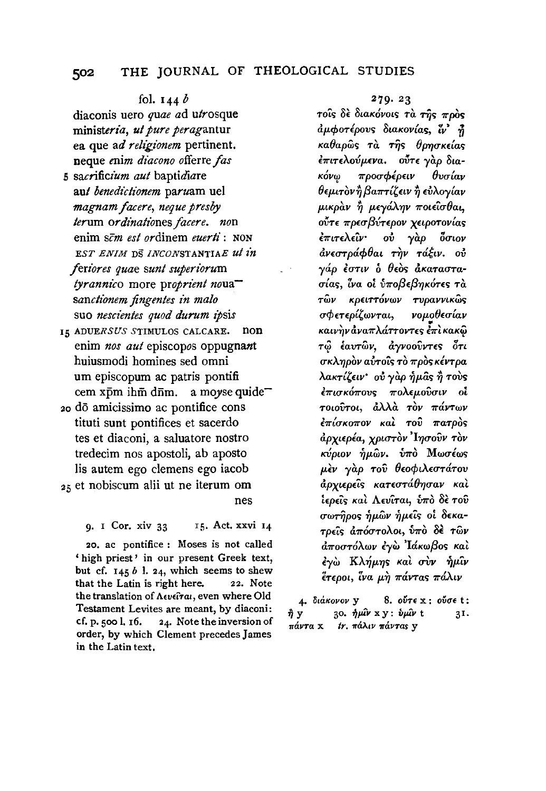## fol. 144 *b*

diaconis uero *quae* ad *utrosque ministeria, ut pure peragantur*  ea que ad *religionem* pertinent. neque *enim diacono* offerre *fas* 

- 5 *sacrificium aut* baptidiare aut *benedictionem* paruam uel *magnam facere, neque presby*   $terum$  ordinationes facere. non enim *scm est* ordinem *euerti* : NON EST ENIM DS INCONSTANTIAE ut in *feriores quae sun! superiorum tyrannico* more *proprient nouasancti'onem fingentes in malo*  suo *nescientes quod durum ipsis*
- 15 ADUERSUS STIMULOS CALCARE. non enim *nos aut* episcopos oppugnant huiusmodi homines sed omni urn episcopum ac patris pontifi cem xpm ihm diim. a *moyse* quide-
- 20 do amicissimo ac pontifice cons tituti sunt pontifices et sacerdo tes et diaconi, a saluatore nostro tredecim nos apostoli, ab aposto lis autem ego clemens ego iacob  $25 \text{ et }$  nobiscum alii ut ne iterum om nes

9. I Cor. xiv 33 15. Act. xxvi 14

20. ac pontifice : Moses is not called ' high priest' in our present Greek text, but cf. 145 *b* I. 24, which seems to shew that the Latin is right here. 22. Note the translation of Λευείται, even where Old Testament Levites are meant, by diaconi: cf. p. 500 l.  $16.$  24. Note the inversion of order, by which Clement precedesJames in the Latin text.

#### 279.23

*TO*CS δε διακόνοις τα της προς  $d\mu\phi$ οτέρους διακονίας, ζν' ή  $\kappa a \theta a \rho \hat{\omega}$ ς τ $\hat{\alpha}$  της θρησκείας *£mT£Aovp.£Va. oVT£ yap 8ta-K*óνω προσφέρειν θυσίαν  $\theta$ εμιτὸν ή βαπτίζειν ή εὐλογίαν *p.tKpav* ~ *p.£yaATJV 7rOL£t<T8at, OVT£ 7rp£cr{3VT£pov xnpoTov{a> £muA.£'iv· ov yap 6uwv rlv£uTpcf.cp8at* T~v *Tci.fw. ov*  **γάρ ἐστιν ὁ θεὸς ἀκαταστα***a-lat;, iva oi* iJ7ro{3£/3'Y}KrYr£~ *TU TWV Kpnn6vwv -rvpavvtKW>*   $\sigma\phi$ ετερίζωνται, νομοθεσίαν Katv~v *&.va7r A.cf.TTOVT£'0* E7r~ *KaKiiJ*  $\tau$ ω εαυτών, αγνοούντες ότι *crKA.TJpov aflTo'i> To 7rpo> KivTpa λακτίζειν* ού γαρ ήμας ή τους *επισκόπους πολεμούσιν οι TOWVTot,* &AA.a *TOV 7rciVTwv £7r{uKo7rov Kat Tov 7raTpo> apxt£pia, XPLCTTOV 'ITJCTOVV TOV κύριον ἡμ*ῶν. *νπ*ὸ Μωσέως  $\mu$ εν γαρ του θεοφιλεστάτου *apxt£p£tS KaT£<TTa(J'YJCTaV* Ka~ *iερεῖς καὶ Λευῖται, υπ*ὸ δε τοῦ *crwrYjpo>* ~p.wv ~p.£t> *oi 8£Ka-TP£t> a7rOCTToA.ot, v7ro* 8E *Twv*   $d\pi$ οστόλων έγὼ 'Iάκωβος και *εγ*ώ Κλήμης και συν ήμιν *f.T£poL, Zva* p.~ *7rcf.VTa> 7raAtv* 

4• *SuiKovov* y 8. *o6n* x : *o6u•* t :  $\hat{\eta}$  y 30.  $\hat{\eta} \mu \hat{\mu} v$  x y :  $\hat{v} \mu \hat{u} v$  t 31. πάντα *x tr. πάλιν πάντας* γ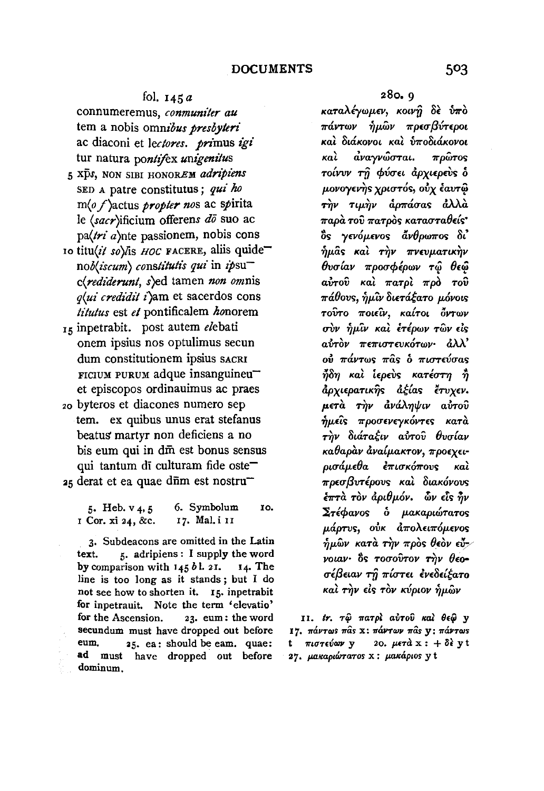### fol.  $145a$

connumeremus, *conmuniter au*  tern a nobis *omnzous presbyleri*  ac diaconi et *leclores. pri'mus igi*  tur natura *pontifex unigenitus* 

- 5 *Xps,* NON SIBI HONOREM *adripi'ens*  SED A patre constitutus; *qui ho*  m(o f)actus *propter nos* ac spirita le (sacr)ificium offerens *do* suo ac  $pa(\tau i \, a)$ nte passionem, nobis cons
- 10 titu(it so)/is HOC FACERE, aliis quide<sup>-</sup> *nob(iscum) consli'tulis qui* in *ipsuc(rediderunt,* s)ed tamen *non omnis q(ui credidz!* i)am et sacerdos cons *titutus* est *et* pontificalem *honorem*
- 15 inpetrabit. post autem elebati onem ipsius nos optulimus secun dum constitutionem ipsius SACRI  $r$ ICIUM PURUM adque insanguineu $$ et episcopos ordinauimus ac praes
- <sup>20</sup>byteros et diacones numero sep tern. ex quibus unus erat stefanus beatus martyr non deficiens a no bis eum qui in dm est bonus sensus qui tantum di culturam fide oste $25$  derat et ea quae d $\bar{n}$ m est nostru<sup>-</sup>

5. Heb.  $v_4$ , 5 I Cor. xi 24, &c. 6. Symbolum 17. Mal. i 11 IO.

3· Subdeacons are omitted in the Latin text. 5. adripiens : I supply the word by comparison with 145 *b* 1. 2 I. 14. The line is too long as it stands ; but I do not see how to shorten it. 15. inpetrabit for inpetrauit. Note the term 'elevatio' for the Ascension. 23. eum: the word secundum must have dropped out before eum. 25. ea: should be eam. quae: ad must have dropped out before dominum.

280. 9

καταλέγωμεν, κοινή δε ύπο πάντων ήμῶν πρεσβύτεροι καὶ διάκονοι καὶ ὑποδιάκονοι  $k$ al ava $\gamma v$ ω $\sigma$ Tat.  $\pi$ pω $\tau$ os  $\tau$ οίνυν τ $\hat{\eta}$  φύσει άρχιερεύς δ μονογενής χριστός, ούχ έαυτω την τιμήν άρπάσας άλλα  $\pi$ αρὰ τοῦ  $\pi$ ατρὸς κατασταθείς $^{\ast}$ ός γενόμενος ἄνθρωπος δι'  $\hat{\eta} \mu$ âs καὶ τὴν πνευματικὴν θυσίαν προσφέρων τ<u>ώ</u> θεώ  $a\dot{v}$ του και πατρι προ του  $\pi$ άθους,  $\grave{\eta} \mu$ ῖν διετάξατο μόνοις τοົντο ποιεῖν, καίτοι ὄντων σὺν ἡμῖν καὶ ἐτέρων τῶν εἰς aυτόν πεπιστευκότων· άλλ' οὐ πάντως πᾶς ὁ πιστεύσας  $\vec{\eta}$ δη καὶ ἱερεὺς κατέστη  $\vec{\eta}$ αρχιερατικής αξίας έτυχεν. μετά την ανάληψιν αύτου  $\hat{\eta}$ μεῖς προσενεγκόντες κατὰ την διάταξιν αύτου θυσίαν καθαραν αναίμακτον, προεχειρισάμεθα έπισκόπους και πρεσβυτέρους και διακόνους  $\frac{1}{2}$   $\frac{1}{2}$   $\frac{1}{2}$   $\frac{1}{2}$   $\frac{1}{2}$   $\frac{1}{2}$   $\frac{1}{2}$   $\frac{1}{2}$   $\frac{1}{2}$   $\frac{1}{2}$   $\frac{1}{2}$   $\frac{1}{2}$   $\frac{1}{2}$   $\frac{1}{2}$   $\frac{1}{2}$   $\frac{1}{2}$   $\frac{1}{2}$   $\frac{1}{2}$   $\frac{1}{2}$   $\frac{1}{2}$   $\frac{1}{2}$   $\frac{1}{2}$   $\Sigma$ τέφανος ο μακαριώτατος μάρτυς, ούκ απολειπόμενος  $\eta$ μων κατά την πρός θεόν εύ-/  $\gamma$ otav·  $\delta$ s Tooovrov Tilv  $\theta$ eoσέβειαν τη πίστει ενεδείξατο και την είς τον κύριον ήμων

**11.** tr. τώ πατρί αύτου και θεώ y **I7.**  $π$ άντως πας x: πάντων πας v; πάντως **πιστεύων y** 20. μετ $d x : + \delta f$  y t 27. pakapiwraros x : pakapios y t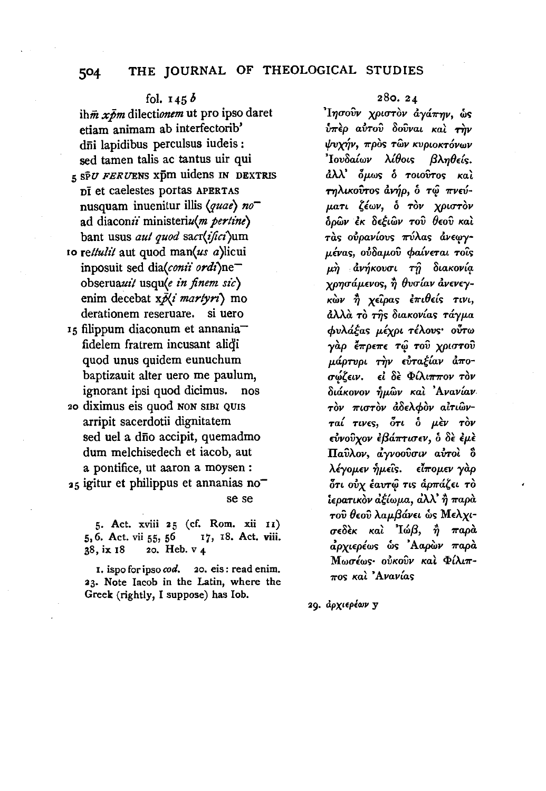## fol.  $145b$

 $i\hbar\vec{m}$  x $\vec{b}m$  dilectionem ut pro ipso daret etiam animam ab interfectorib' dni lapidibus perculsus iudeis: sed tamen talis ac tantus uir qui  $550$  FERUENS XDM uidens IN DEXTRIS Di et caelestes portas APERTAS nusquam inuenitur illis (quae) no ad diaconii ministeriu(m pertine) bant usus aut quod sacr(ifici)um 10 rettulit aut quod man(us a)licui inposuit sed dia(conii ordi)neobseruauit usqu(e in finem sic) enim decebat x Ni martyri) mo derationem reseruare. si uero 15 filippum diaconum et annania

- fidelem fratrem incusant alidi quod unus quidem eunuchum baptizauit alter uero me paulum, ignorant ipsi quod dicimus. nos
- 20 diximus eis quod non sibi quis arripit sacerdotii dignitatem sed uel a dño accipit, quemadmo dum melchisedech et iacob, aut a pontifice, ut aaron a moysen : 25 igitur et philippus et annanias no se se

5. Act. xviii 25 (cf. Rom. xii 11) 17, 18. Act. viii. 5, 6. Act. vii 55, 56 20. Heb. v 4 38. ix 18

I. ispo for ipso cod. 20. eis: read enim. 23. Note Iacob in the Latin, where the Greek (rightly, I suppose) has Iob.

## $280.24$

'Ίησοῦν χριστὸν ἀγάπην, ὡς  $\hat{v}\pi\hat{\epsilon}\rho$  αύτου δουναι και την ψυχήν, πρὸς τῶν κυριοκτόνων Ιουδαίων λίθοις βληθείς. άλλ' δμως δ τοιούτος και τηλικούτος άνήρ, δ τῷ πνεύματι ζέων, ό τον χριστον δρῶν ἐκ δεξιῶν τοῦ θεοῦ καὶ τάς ούρανίους πύλας άνεωγμένας, ούδαμού φαίνεται τοΐς μή ανήκουσι τη διακονία χρησάμενος, ή θυσίαν άνενεγκών ή χείρας επιθείς τινι, άλλὰ τὸ τῆς διακονίας τάγμα φυλάξας μέχρι τέλους· ούτω γὰρ ἔπρεπε τῷ τοῦ χριστοῦ μάρτυρι την ευταξίαν άποσώζειν. εἰ δὲ Φίλι<del>ππ</del>ον <del>τ</del>ὸν διάκονον ήμων καὶ 'Ανανίαν τὸν πιστὸν ἀδελφὸν aἰτιῶνταί τινες, ότι ο μεν τον εύνούχον έβάπτισεν, ο δε έμε Παύλον, αγνοούσιν αύτοι δ λέγομεν ἡμεῖς. είπομεν γάρ ότι ούχ έαυτώ τις άρπάζει το ίερατικὸν ἀξίωμα, ἀλλ' ἢ παρὰ του θεού λαμβάνει ως Μελχισεδεκ και 'Ιώβ, ή παρα αρχιερέως ώς Ααρών παρά Μωσέως ούκουν και Φίλιπ- $\pi$ os καλ 'Ανανίας

29. αρχιερέων γ

504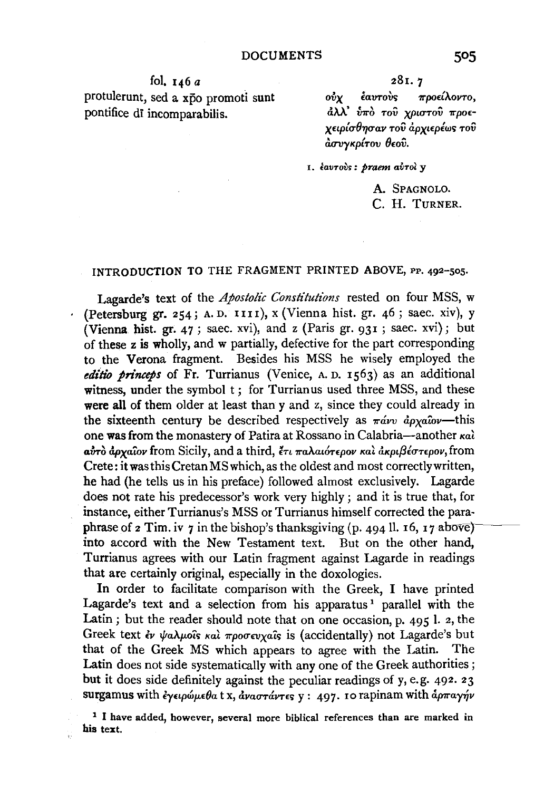fol.  $146a$ protulerunt, sed a xpo promoti sunt pontifice di incomparabilis.

281.7

ούν έαυτούς προείλοντο. άλλ' ύπό του χριστού προεχειρίσθησαν του άρχιερέως του ασυγκρίτου θεού.

1. έαυτούς: praem αύτοι y

A. SPAGNOLO. C. H. TURNER.

## INTRODUCTION TO THE FRAGMENT PRINTED ABOVE, PP. 492-505.

Lagarde's text of the Apostolic Constitutions rested on four MSS, w · (Petersburg gr. 254; A.D. IIII), x (Vienna hist. gr. 46; saec. xiv), y (Vienna hist. gr. 47; saec. xvi), and z (Paris gr. 931; saec. xvi); but of these z is wholly, and w partially, defective for the part corresponding to the Verona fragment. Besides his MSS he wisely employed the editio princeps of Fr. Turrianus (Venice, A. D. 1563) as an additional witness, under the symbol t; for Turrianus used three MSS, and these were all of them older at least than y and z, since they could already in the sixteenth century be described respectively as  $\pi \hat{a} v v \hat{a} \rho_X a \hat{a} v$ —this one was from the monastery of Patira at Rossano in Calabria-another kal αύτο άρχαίον from Sicily, and a third, έτι παλαιότερον και ακριβέστερον, from Crete: it was this Cretan MS which, as the oldest and most correctly written, he had (he tells us in his preface) followed almost exclusively. Lagarde does not rate his predecessor's work very highly; and it is true that, for instance, either Turrianus's MSS or Turrianus himself corrected the paraphrase of  $\alpha$  Tim. iv  $\gamma$  in the bishop's thanksgiving (p. 494 ll. 16, 17 above) into accord with the New Testament text. But on the other hand, Turrianus agrees with our Latin fragment against Lagarde in readings that are certainly original, especially in the doxologies.

In order to facilitate comparison with the Greek, I have printed Lagarde's text and a selection from his apparatus<sup>1</sup> parallel with the Latin; but the reader should note that on one occasion, p. 495 l. 2, the Greek text έν ψαλμοΐς και προσευχαΐς is (accidentally) not Lagarde's but that of the Greek MS which appears to agree with the Latin. The Latin does not side systematically with any one of the Greek authorities; but it does side definitely against the peculiar readings of y, e.g. 492. 23 surgamus with εγειρώμεθα t x, άναστάντες γ: 497. 10 rapinam with άρπαγήν

<sup>&</sup>lt;sup>1</sup> I have added, however, several more biblical references than are marked in his text.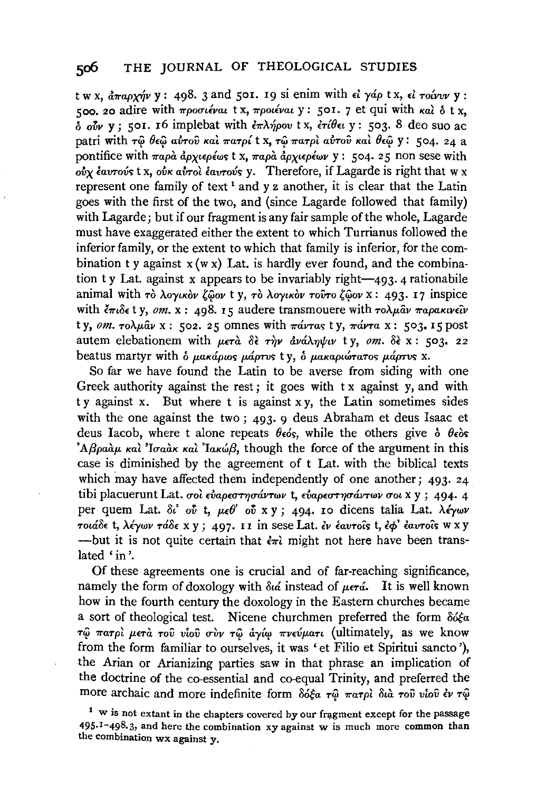t w x,  $\partial_{\overline{x}} a_0$  (x x)  $\partial_{\overline{x}} y$  : 498, 3 and 501. 19 si enim with  $\epsilon i$   $\gamma \phi \rho$  t x,  $\epsilon i$   $\tau \partial \overline{\psi} \nu \overline{\nu}$  y : 500. 20 adire with  $\pi \rho$ ootievat tx,  $\pi \rho$ otievat y: 501. 7 et qui with  $\kappa a$  o tx.  $\delta$   $\delta v$  v; 501. 16 implebat with  $\frac{\partial}{\partial x} \lambda \gamma \partial \rho$  is x,  $\frac{\partial}{\partial y} \frac{\partial}{\partial y}$ ; 503. 8 deo suo ac patri with τω θεώ αύτου και πατρί t x, τω πατρι αύτου και θεώ y: 504. 24 a pontifice with  $\pi a \rho \dot{a}$   $\dot{a} \rho y \epsilon \rho \dot{\epsilon} \omega s$  t x,  $\pi a \rho \dot{a}$   $\dot{a} \rho y \epsilon \rho \dot{\epsilon} \omega y$  y: 504. 25 non sese with  $\overrightarrow{ov}$   $\overrightarrow{v}$   $\overrightarrow{v}$   $\overrightarrow{v}$   $\overrightarrow{v}$   $\overrightarrow{v}$   $\overrightarrow{v}$   $\overrightarrow{v}$   $\overrightarrow{v}$   $\overrightarrow{v}$   $\overrightarrow{v}$   $\overrightarrow{v}$   $\overrightarrow{v}$   $\overrightarrow{v}$   $\overrightarrow{v}$   $\overrightarrow{v}$   $\overrightarrow{v}$   $\overrightarrow{v}$   $\overrightarrow{v}$   $\overrightarrow{v}$   $\overrightarrow{v}$   $\overrightarrow{v}$   $\overrightarrow{v}$   $\overrightarrow{v}$   $\overrightarrow{$ represent one family of text<sup>1</sup> and y z another, it is clear that the Latin goes with the first of the two, and (since Lagarde followed that family) with Lagarde; but if our fragment is any fair sample of the whole, Lagarde must have exaggerated either the extent to which Turrianus followed the inferior family, or the extent to which that family is inferior, for the combination t y against  $x(wx)$  Lat, is hardly ever found, and the combination ty Lat. against x appears to be invariably right— $493.4$  rationabile animal with  $\tau_0$  λογικόν ζώον t y,  $\tau_0$  λογικόν τούτο ζώον x: 493. 17 inspice with  $\tilde{\epsilon}\pi \tilde{\epsilon}$  (v, om, x; 498, 15 audere transmouere with  $\tau \delta \mu \tilde{a} \nu \pi a \rho a \kappa \nu \epsilon \tilde{\nu}$ ty, om.  $\tau o \lambda \mu a v$  x: 502. 25 omnes with  $\pi a v \tau a s$  ty,  $\pi a v \tau a$  x: 503. 15 post autem elebationem with  $\mu \epsilon \tau \hat{a}$  δε την ανάληψιν ty, om. δε x: 503. 22 beatus martyr with δ μακάριος μάρτυς ty, δ μακαριώτατος μάρτυς x.

So far we have found the Latin to be averse from siding with one Greek authority against the rest; it goes with  $tx$  against  $y$ , and with ty against x. But where t is against x y, the Latin sometimes sides with the one against the two;  $493.9$  deus Abraham et deus Isaac et deus Iacob, where t alone repeats  $\theta_{\epsilon}$  while the others give  $\delta$   $\theta_{\epsilon}$  os 'Aβραάμ και 'Iσαάκ και' Iακώβ, though the force of the argument in this case is diminished by the agreement of t Lat. with the biblical texts which may have affected them independently of one another;  $493.24$ tibi placuerunt Lat. σοι εύαρεστησάντων t. εύαρεστησάντων σοι x y ; 494. 4 per quem Lat.  $\delta t$  of t.  $\mu \epsilon \theta$  of x y; 494. 10 dicens talia Lat.  $\lambda \epsilon y \omega \nu$ τοιάδε t, λέγων τάδε x y ; 497. II in sese Lat. έν έαυτοΐς t, έφ' έαυτοΐς w x y ---but it is not quite certain that  $\partial \pi \hat{i}$  might not here have been translated 'in'.

Of these agreements one is crucial and of far-reaching significance, namely the form of doxology with  $\delta u \dot{\alpha}$  instead of  $\mu \epsilon \tau \dot{\alpha}$ . It is well known how in the fourth century the doxology in the Eastern churches became a sort of theological test. Nicene churchmen preferred the form  $\delta d \xi a$ τώ πατρί μετά του νίου σύν τώ άγίω πνεύματι (ultimately, as we know from the form familiar to ourselves, it was 'et Filio et Spiritui sancto'), the Arian or Arianizing parties saw in that phrase an implication of the doctrine of the co-essential and co-equal Trinity, and preferred the more archaic and more indefinite form δόξα τω πατρί διά του υίου έν τω

 $1$  w is not extant in the chapters covered by our fragment except for the passage  $495.1 - 498.3$ , and here the combination xy against w is much more common than the combination wx against y.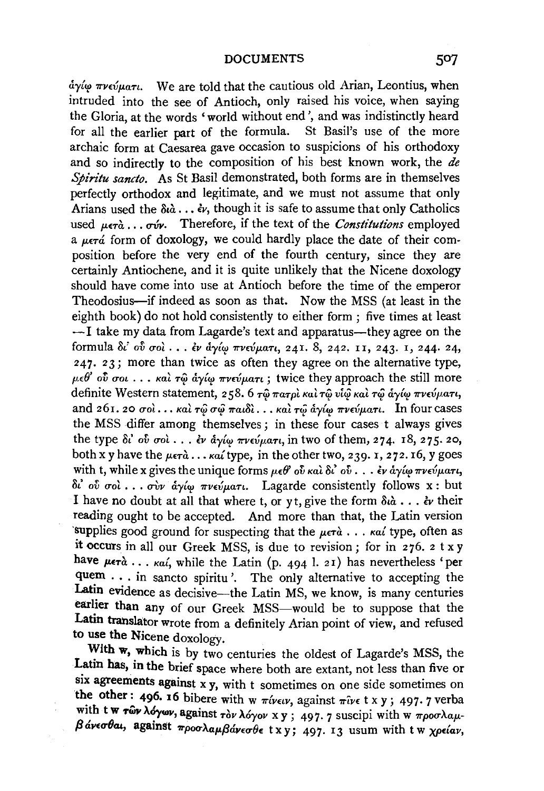*ay{'f 7rvevp.an.* We are told that the cautious old Arian, Leontius, when intruded into the see of Antioch, only raised his voice, when saying the Gloria, at the words 'world without end', and was indistinctly heard for all the earlier part of the formula. St Basil's use of the more archaic form at Caesarea gave occasion to suspicions of his orthodoxy and so indirectly to the composition of his best known work, the *de Spin'tu sancto.* As St Basil demonstrated, both forms are in themselves perfectly orthodox and legitimate, and we must not assume that only Arians used the  $\delta t \hat{a}$ ...  $\dot{\epsilon}$ *v*, though it is safe to assume that only Catholics used  $\mu \in \hat{a}$ ,  $\sigma \in \hat{a}$  Therefore, if the text of the *Constitutions* employed a  $\mu$ er $\acute{a}$  form of doxology, we could hardly place the date of their composition before the very end of the fourth century, since they are certainly Antiochene, and it is quite unlikely that the Nicene doxology should have come into use at Antioch before the time of the emperor Theodosius-if indeed as soon as that. Now the MSS (at least in the eighth book) do not hold consistently to either form; five times at least  $-I$  take my data from Lagarde's text and apparatus—they agree on the formula *8t'* o{; *uot* .•• EV *ay{<f 7rVwp.aTI,* 24!. 8, 242. II, 243· I, 244· 24, 247. 23; more than twice as often they agree on the alternative type, *μεθ*' ού σοι ... και τῷ άγίω πνεύματι; twice they approach the still more definite Western statement, 258. 6 τω πατρι και τω υίω και τω αγίω πνεύματι, and 261. 20  $\sigma$ oi... *Kai*  $\tau \hat{\omega}$   $\sigma \hat{\omega}$   $\pi a u \delta i$ ... *Kai*  $\tau \hat{\omega}$   $\hat{\alpha} \gamma \hat{\omega}$   $\pi \nu \epsilon \hat{\omega} \mu a \tau i$ . In four cases the MSS differ among themselves; in these four cases t always gives the type δι' ού σολ... εν άγίω πνεύματι, in two of them, 274. 18, 275. 20, both x y have the  $\mu \epsilon \tau \hat{a}$ ...  $\kappa a'$  type, in the other two, 239. 1, 272. 16, y goes with t, while x gives the unique forms μεθ ού και δι' ού . . . εν άγιω πνεύματι,  $\delta$ <sup>i</sup> oύ σοι ... σὺν ἀγίω πνεύματι. Lagarde consistently follows x : but I have no doubt at all that where t, or yt, give the form  $\delta t \hat{a} \dots \hat{e} \nu$  their reading ought to be accepted. And more than that, the Latin version ·supplies good ground for suspecting that the *p.ETa* •.• *Kat* type, often as it occurs in all our Greek MSS, is due to revision; for in 276. 2 t x y have  $\mu \epsilon \tau \dot{a}$  ...  $\kappa a i$ , while the Latin (p. 494 l. 21) has nevertheless 'per quem . . . in sancto spiritu'. The only alternative to accepting the Latin evidence as decisive-the Latin MS, we know, is many centuries earlier than any of our Greek MSS-would be to suppose that the Latin translator wrote from a definitely Arian point of view, and refused to use the Nicene doxology.

With w, which is by two centuries the oldest of Lagarde's MSS, the Latin has, in the brief space where both are extant, not less than five or six agreements against  $x y$ , with t sometimes on one side sometimes on the other: 496. 16 bibere with w  $\pi i$ vetv, against  $\pi i$ ve t x y; 497. 7 verba with t w *Twv*  $\lambda$ *dywv*, against *Tov*  $\lambda$ *dyov* x y ; 497. 7 suscipi with w  $\pi \rho$ oo $\lambda a\mu$  $β$ *άνεσθαι*, against *προσλαμβάνεσθε* txy; 497. I3 usum with tw *χρείαν*,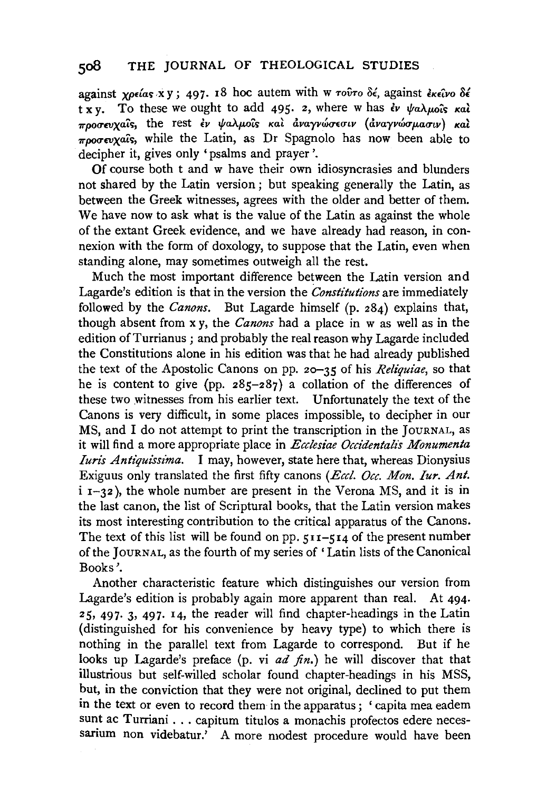## **soB THE** JOURNAL OF THEOLOGICAL STUDIES

against *xpeias* xy; 497. 18 hoc autem with w  $\tau$ ov $\tau$ o  $\delta \epsilon$ , against  $\epsilon$ *k* $\epsilon$  $\delta \nu$ o  $\delta \epsilon$  $\overline{t}$  x v. To these we ought to add 495. 2, where w has  $\dot{\epsilon}$   $\psi$   $\alpha\lambda\mu\alpha\hat{\alpha}$   $\kappa\alpha\hat{\lambda}$ *προσευχαΐς*, the rest *εν ψαλμοΐς και αναγνώσεσιν (αναγνώσμασιν) και*  $\pi$ *nogenvals*, while the Latin, as Dr Spagnolo has now been able to decipher it, gives only 'psalms and prayer '.

Of course both t and w have their own idiosyncrasies and blunders not shared by the Latin version ; but speaking generally the Latin, as between the Greek witnesses, agrees with the older and better of them. We have now to ask what is the value of the Latin as against the whole of the extant Greek evidence, and we have already had reason, in connexion with the form of doxology, to suppose that the Latin, even when standing alone, may sometimes outweigh all the rest.

Much the most important difference between the Latin version and Lagarde's edition is that in the version the *Constitutions* are immediately followed by the *Canons.* But Lagarde himself (p. 284) explains that, though absent from x y, the *Canons* had a place in w as well as in the edition of Turrianus; and probably the real reason why Lagarde included the Constitutions alone in his edition was that he had already published the text of the Apostolic Canons on pp. 20-35 of his *Reliquiae,* so that he is content to give (pp.  $285-287$ ) a collation of the differences of these two witnesses from his earlier text. Unfortunately the text of the Canons is very difficult, in some places impossible, to decipher in our MS, and I do not attempt to print the transcription in the JOURNAL, as it will find a more appropriate place in *Ecclesiae Occidentalis Monumenta Iuris Antiquissima.* I may, however, state here that, whereas Dionysius Exiguus only translated the first fifty canons *(Eccl. Occ. Mon. Iur. Ant.*   $i$   $i - 32$ ), the whole number are present in the Verona MS, and it is in the last canon, the list of Scriptural books, that the Latin version makes its most interesting contribution to the critical apparatus of the Canons. The text of this list will be found on pp.  $511-514$  of the present number of the JOURNAL, as the fourth of my series of 'Latin lists of the Canonical Books'.

Another characteristic feature which distinguishes our version from Lagarde's edition is probably again more apparent than real. At 494· 25, 497· 3, 497· 14, the reader will find chapter-headings in the Latin (distinguished for his convenience by heavy type) to which there is nothing in the parallel text from Lagarde to correspond. But if he looks up Lagarde's preface (p. vi *ad fin.*) he will discover that that illustrious but self-willed scholar found chapter-headings in his MSS, but, in the conviction that they were not original, declined to put them in the text or even to record them in the apparatus; 'capita mea eadem sunt ac Turriani . . . capitum titulos a monachis profectos edere necessarium non videbatur.' A more modest procedure would have been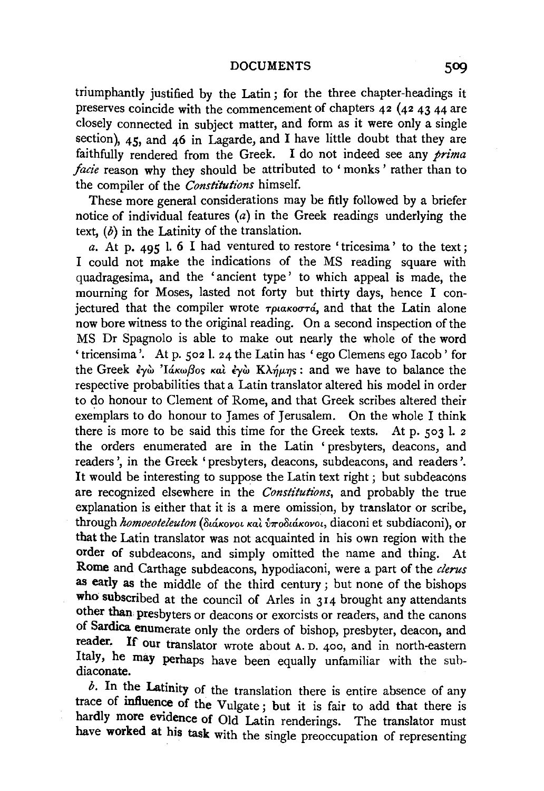### DOCUMENTS 509

triumphantly justified by the Latin; for the three chapter-headings it preserves coincide with the commencement of chapters 42 (42 43 44 are closely connected in subject matter, and form as it were only a single section), 45, and 46 in Lagarde, and I have little doubt that they are faithfully rendered from the Greek. I do not indeed see any *prima facie* reason why they should be attributed to 'monks' rather than to the compiler of the *Constitutions* himself.

These more general considerations may be fitly followed by a briefer notice of individual features (a) in the Greek readings underlying the text,  $(b)$  in the Latinity of the translation.

*a.* At p. 495 I. 6 I had ventured to restore 'tricesima' to the text; I could not make the indications of the MS reading square with quadragesima, and the 'ancient type' to which appeal is made, the mourning for Moses, lasted not forty but thirty days, hence I coniectured that the compiler wrote  $\tau_{\text{plakooT4}}$ , and that the Latin alone now bore witness to the original reading. On a second inspection of the MS Dr Spagnolo is able to make out nearly the whole of the word 'tricensima '. At p. 502 l. 24 the Latin has 'ego Clemens ego Iacob' for the Greek *έγ*ώ 'Ιάκωβος και *έγ*ώ Κλήμης: and we have to balance the respective probabilities that a Latin translator altered his model in order to do honour to Clement of Rome, and that Greek scribes altered their exemplars to do honour to James of Jerusalem. On the whole I think there is more to be said this time for the Greek texts. At p. 503 l. 2 the orders enumerated are in the Latin ' presbyters, deacons, and readers', in the Greek 'presbyters, deacons, subdeacons, and readers'. It would be interesting to suppose the Latin text right; but subdeacons are recognized elsewhere in the *Constitutions*, and probably the true explanation is either that it is a mere omission, by translator or scribe, through *homoeoteleuton* ( *St&Kovot Kat inrollt&Kovot,* diaconi et subdiaconi), or that the Latin translator was not acquainted in his own region with the order of subdeacons, and simply omitted the name and thing. At Rome and Carthage subdeacons, hypodiaconi, were a part of the *clerus*  as early as the middle of the third century; but none of the bishops who subscribed at the council of Arles in 314 brought any attendants other than, presbyters or deacons or exorcists or readers, and the canons of Sardica enumerate only the orders of bishop, presbyter, deacon, and reader. If our translator wrote about A. D. 400, and in north-eastern Italy, he may perhaps have been equally unfamiliar with the subdiaconate.

 $b$ . In the Latinity of the translation there is entire absence of any trace of influence of the Vulgate; but it is fair to add that there is hardly more evidence of Old Latin renderings. The translator must have worked at his task with the single preoccupation of representing